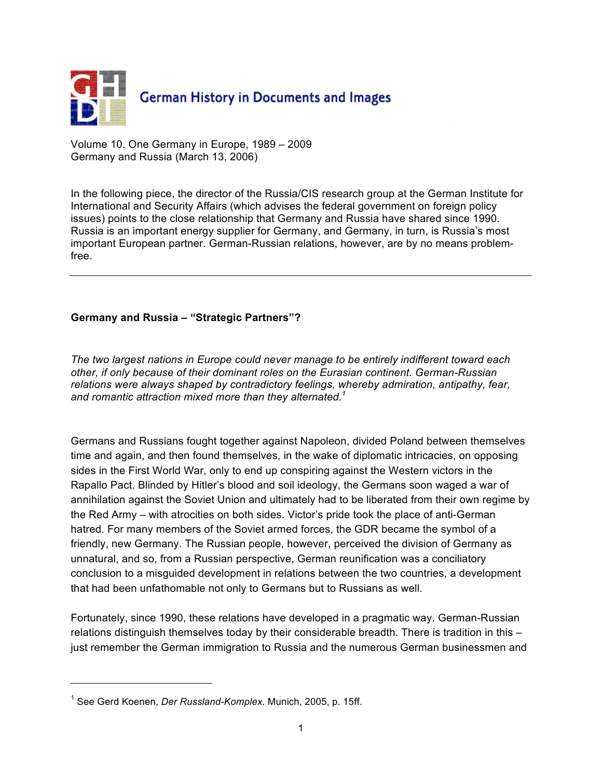

Volume 10. One Germany in Europe, 1989 – 2009 Germany and Russia (March 13, 2006)

In the following piece, the director of the Russia/CIS research group at the German Institute for International and Security Affairs (which advises the federal government on foreign policy issues) points to the close relationship that Germany and Russia have shared since 1990. Russia is an important energy supplier for Germany, and Germany, in turn, is Russia's most important European partner. German-Russian relations, however, are by no means problemfree.

## **Germany and Russia – "Strategic Partners"?**

*The two largest nations in Europe could never manage to be entirely indifferent toward each other, if only because of their dominant roles on the Eurasian continent. German-Russian relations were always shaped by contradictory feelings, whereby admiration, antipathy, fear, and romantic attraction mixed more than they alternated. 1*

Germans and Russians fought together against Napoleon, divided Poland between themselves time and again, and then found themselves, in the wake of diplomatic intricacies, on opposing sides in the First World War, only to end up conspiring against the Western victors in the Rapallo Pact. Blinded by Hitler's blood and soil ideology, the Germans soon waged a war of annihilation against the Soviet Union and ultimately had to be liberated from their own regime by the Red Army – with atrocities on both sides. Victor's pride took the place of anti-German hatred. For many members of the Soviet armed forces, the GDR became the symbol of a friendly, new Germany. The Russian people, however, perceived the division of Germany as unnatural, and so, from a Russian perspective, German reunification was a conciliatory conclusion to a misguided development in relations between the two countries, a development that had been unfathomable not only to Germans but to Russians as well.

Fortunately, since 1990, these relations have developed in a pragmatic way. German-Russian relations distinguish themselves today by their considerable breadth. There is tradition in this – just remember the German immigration to Russia and the numerous German businessmen and

 $\overline{a}$ 

<sup>1</sup> See Gerd Koenen, *Der Russland-Komplex*. Munich, 2005, p. 15ff.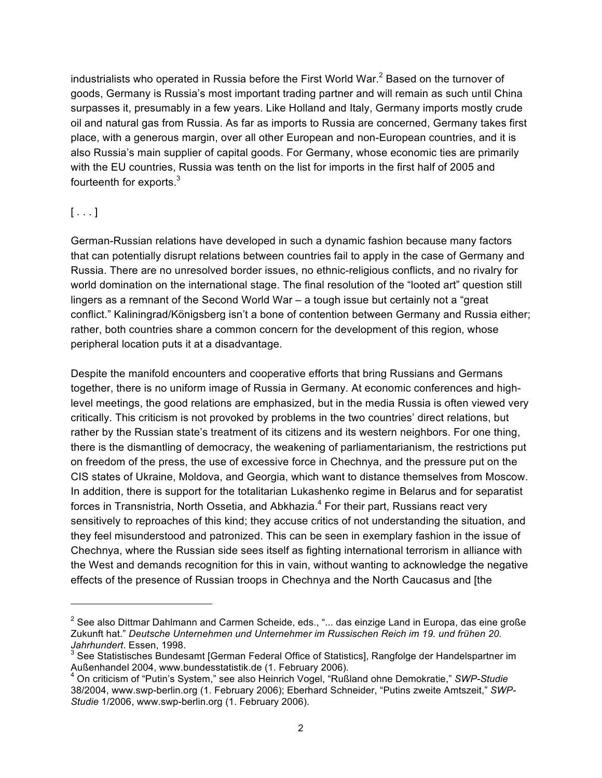industrialists who operated in Russia before the First World War.<sup>2</sup> Based on the turnover of goods, Germany is Russia's most important trading partner and will remain as such until China surpasses it, presumably in a few years. Like Holland and Italy, Germany imports mostly crude oil and natural gas from Russia. As far as imports to Russia are concerned, Germany takes first place, with a generous margin, over all other European and non-European countries, and it is also Russia's main supplier of capital goods. For Germany, whose economic ties are primarily with the EU countries, Russia was tenth on the list for imports in the first half of 2005 and fourteenth for exports.<sup>3</sup>

## $[\ldots]$

 $\overline{a}$ 

German-Russian relations have developed in such a dynamic fashion because many factors that can potentially disrupt relations between countries fail to apply in the case of Germany and Russia. There are no unresolved border issues, no ethnic-religious conflicts, and no rivalry for world domination on the international stage. The final resolution of the "looted art" question still lingers as a remnant of the Second World War – a tough issue but certainly not a "great conflict." Kaliningrad/Königsberg isn't a bone of contention between Germany and Russia either; rather, both countries share a common concern for the development of this region, whose peripheral location puts it at a disadvantage.

Despite the manifold encounters and cooperative efforts that bring Russians and Germans together, there is no uniform image of Russia in Germany. At economic conferences and highlevel meetings, the good relations are emphasized, but in the media Russia is often viewed very critically. This criticism is not provoked by problems in the two countries' direct relations, but rather by the Russian state's treatment of its citizens and its western neighbors. For one thing, there is the dismantling of democracy, the weakening of parliamentarianism, the restrictions put on freedom of the press, the use of excessive force in Chechnya, and the pressure put on the CIS states of Ukraine, Moldova, and Georgia, which want to distance themselves from Moscow. In addition, there is support for the totalitarian Lukashenko regime in Belarus and for separatist forces in Transnistria, North Ossetia, and Abkhazia.<sup>4</sup> For their part, Russians react very sensitively to reproaches of this kind; they accuse critics of not understanding the situation, and they feel misunderstood and patronized. This can be seen in exemplary fashion in the issue of Chechnya, where the Russian side sees itself as fighting international terrorism in alliance with the West and demands recognition for this in vain, without wanting to acknowledge the negative effects of the presence of Russian troops in Chechnya and the North Caucasus and [the

 $^2$  See also Dittmar Dahlmann and Carmen Scheide, eds., "... das einzige Land in Europa, das eine große Zukunft hat." *Deutsche Unternehmen und Unternehmer im Russischen Reich im 19. und frühen 20. Jahrhundert*. Essen, 1998.

 $3$  See Statistisches Bundesamt [German Federal Office of Statistics], Rangfolge der Handelspartner im Außenhandel 2004, www.bundesstatistik.de (1. February 2006).

On criticism of "Putin's System," see also Heinrich Vogel, "Rußland ohne Demokratie," *SWP-Studie* 38/2004, www.swp-berlin.org (1. February 2006); Eberhard Schneider, "Putins zweite Amtszeit," *SWP-Studie* 1/2006, www.swp-berlin.org (1. February 2006).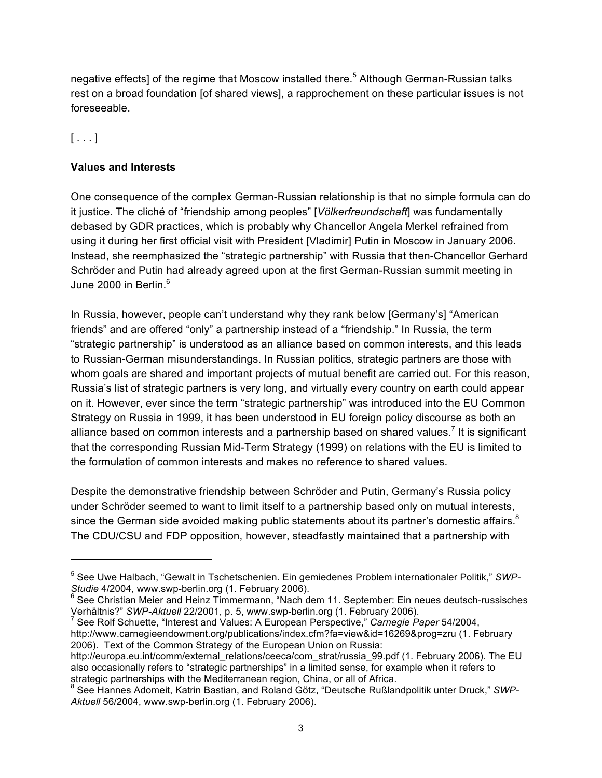negative effects] of the regime that Moscow installed there.<sup>5</sup> Although German-Russian talks rest on a broad foundation [of shared views], a rapprochement on these particular issues is not foreseeable.

## $[\ldots]$

 $\overline{a}$ 

## **Values and Interests**

One consequence of the complex German-Russian relationship is that no simple formula can do it justice. The cliché of "friendship among peoples" [*Völkerfreundschaft*] was fundamentally debased by GDR practices, which is probably why Chancellor Angela Merkel refrained from using it during her first official visit with President [Vladimir] Putin in Moscow in January 2006. Instead, she reemphasized the "strategic partnership" with Russia that then-Chancellor Gerhard Schröder and Putin had already agreed upon at the first German-Russian summit meeting in June 2000 in Berlin.<sup>6</sup>

In Russia, however, people can't understand why they rank below [Germany's] "American friends" and are offered "only" a partnership instead of a "friendship." In Russia, the term "strategic partnership" is understood as an alliance based on common interests, and this leads to Russian-German misunderstandings. In Russian politics, strategic partners are those with whom goals are shared and important projects of mutual benefit are carried out. For this reason, Russia's list of strategic partners is very long, and virtually every country on earth could appear on it. However, ever since the term "strategic partnership" was introduced into the EU Common Strategy on Russia in 1999, it has been understood in EU foreign policy discourse as both an alliance based on common interests and a partnership based on shared values.<sup>7</sup> It is significant that the corresponding Russian Mid-Term Strategy (1999) on relations with the EU is limited to the formulation of common interests and makes no reference to shared values.

Despite the demonstrative friendship between Schröder and Putin, Germany's Russia policy under Schröder seemed to want to limit itself to a partnership based only on mutual interests, since the German side avoided making public statements about its partner's domestic affairs. ${}^{8}$ The CDU/CSU and FDP opposition, however, steadfastly maintained that a partnership with

 See Rolf Schuette, "Interest and Values: A European Perspective," *Carnegie Paper* 54/2004, http://www.carnegieendowment.org/publications/index.cfm?fa=view&id=16269&prog=zru (1. February 2006). Text of the Common Strategy of the European Union on Russia:

<sup>5</sup> See Uwe Halbach, "Gewalt in Tschetschenien. Ein gemiedenes Problem internationaler Politik," *SWP-Studie* 4/2004, www.swp-berlin.org (1. February 2006).

See Christian Meier and Heinz Timmermann, "Nach dem 11. September: Ein neues deutsch-russisches Verhältnis?" *SWP-Aktuell* 22/2001, p. 5, www.swp-berlin.org (1. February 2006). 7

http://europa.eu.int/comm/external\_relations/ceeca/com\_strat/russia\_99.pdf (1. February 2006). The EU also occasionally refers to "strategic partnerships" in a limited sense, for example when it refers to strategic partnerships with the Mediterranean region, China, or all of Africa.

<sup>8</sup> See Hannes Adomeit, Katrin Bastian, and Roland Götz, "Deutsche Rußlandpolitik unter Druck," *SWP-Aktuell* 56/2004, www.swp-berlin.org (1. February 2006).